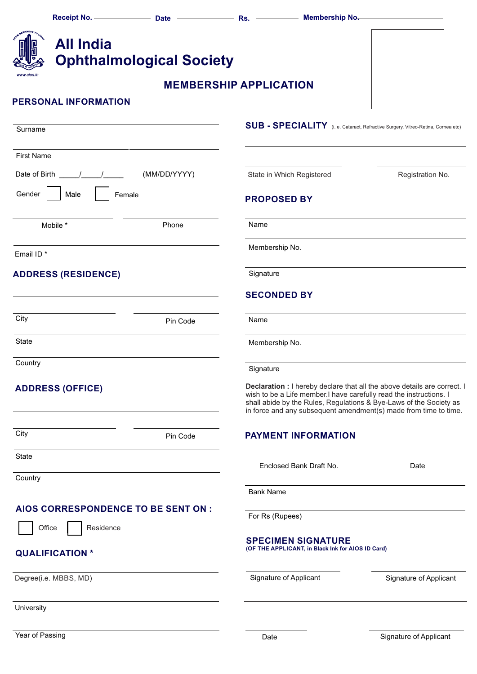|                                                |           |                                     |                               | Receipt No. ------------------- Date ------------------- Rs. -------------- Membership No.                                                                                                                                                                                               |                                                                                  |  |
|------------------------------------------------|-----------|-------------------------------------|-------------------------------|------------------------------------------------------------------------------------------------------------------------------------------------------------------------------------------------------------------------------------------------------------------------------------------|----------------------------------------------------------------------------------|--|
| <b>All India</b>                               |           | <b>Ophthalmological Society</b>     |                               |                                                                                                                                                                                                                                                                                          |                                                                                  |  |
| www.aios.in                                    |           |                                     | <b>MEMBERSHIP APPLICATION</b> |                                                                                                                                                                                                                                                                                          |                                                                                  |  |
| <b>PERSONAL INFORMATION</b>                    |           |                                     |                               |                                                                                                                                                                                                                                                                                          |                                                                                  |  |
| Surname                                        |           |                                     |                               |                                                                                                                                                                                                                                                                                          | SUB - SPECIALITY (i. e. Cataract, Refractive Surgery, Vitreo-Retina, Cornea etc) |  |
| <b>First Name</b>                              |           |                                     |                               |                                                                                                                                                                                                                                                                                          |                                                                                  |  |
| Date of Birth $\frac{1}{\sqrt{1-\frac{1}{2}}}$ |           | (MM/DD/YYYY)                        |                               | State in Which Registered                                                                                                                                                                                                                                                                | Registration No.                                                                 |  |
| Gender<br>Male                                 | Female    |                                     |                               | <b>PROPOSED BY</b>                                                                                                                                                                                                                                                                       |                                                                                  |  |
| Mobile *                                       |           | Phone                               | Name                          |                                                                                                                                                                                                                                                                                          |                                                                                  |  |
| Email ID <sup>*</sup>                          |           |                                     |                               | Membership No.                                                                                                                                                                                                                                                                           |                                                                                  |  |
| <b>ADDRESS (RESIDENCE)</b>                     |           |                                     |                               | Signature                                                                                                                                                                                                                                                                                |                                                                                  |  |
|                                                |           |                                     |                               | <b>SECONDED BY</b>                                                                                                                                                                                                                                                                       |                                                                                  |  |
| City                                           |           | Pin Code                            | Name                          |                                                                                                                                                                                                                                                                                          |                                                                                  |  |
| State                                          |           |                                     |                               | Membership No.                                                                                                                                                                                                                                                                           |                                                                                  |  |
| Country                                        |           |                                     | Signature                     |                                                                                                                                                                                                                                                                                          |                                                                                  |  |
| <b>ADDRESS (OFFICE)</b>                        |           |                                     |                               | Declaration : I hereby declare that all the above details are correct. I<br>wish to be a Life member.I have carefully read the instructions. I<br>shall abide by the Rules, Regulations & Bye-Laws of the Society as<br>in force and any subsequent amendment(s) made from time to time. |                                                                                  |  |
| City                                           | Pin Code  |                                     |                               | <b>PAYMENT INFORMATION</b>                                                                                                                                                                                                                                                               |                                                                                  |  |
| State                                          |           |                                     |                               | Enclosed Bank Draft No.                                                                                                                                                                                                                                                                  | Date                                                                             |  |
| Country                                        |           |                                     |                               |                                                                                                                                                                                                                                                                                          |                                                                                  |  |
|                                                |           | AIOS CORRESPONDENCE TO BE SENT ON : | <b>Bank Name</b>              |                                                                                                                                                                                                                                                                                          |                                                                                  |  |
| Office                                         | Residence |                                     | For Rs (Rupees)               |                                                                                                                                                                                                                                                                                          |                                                                                  |  |
| <b>QUALIFICATION*</b>                          |           |                                     |                               | <b>SPECIMEN SIGNATURE</b><br>(OF THE APPLICANT, in Black Ink for AIOS ID Card)                                                                                                                                                                                                           |                                                                                  |  |
| Degree(i.e. MBBS, MD)                          |           |                                     |                               | Signature of Applicant                                                                                                                                                                                                                                                                   | Signature of Applicant                                                           |  |
| University                                     |           |                                     |                               |                                                                                                                                                                                                                                                                                          |                                                                                  |  |
|                                                |           |                                     |                               |                                                                                                                                                                                                                                                                                          |                                                                                  |  |